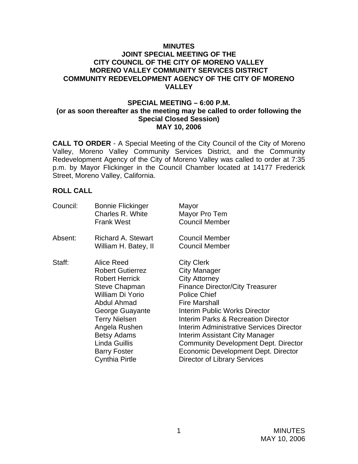### **MINUTES JOINT SPECIAL MEETING OF THE CITY COUNCIL OF THE CITY OF MORENO VALLEY MORENO VALLEY COMMUNITY SERVICES DISTRICT COMMUNITY REDEVELOPMENT AGENCY OF THE CITY OF MORENO VALLEY**

### **SPECIAL MEETING – 6:00 P.M. (or as soon thereafter as the meeting may be called to order following the Special Closed Session) MAY 10, 2006**

**CALL TO ORDER** - A Special Meeting of the City Council of the City of Moreno Valley, Moreno Valley Community Services District, and the Community Redevelopment Agency of the City of Moreno Valley was called to order at 7:35 p.m. by Mayor Flickinger in the Council Chamber located at 14177 Frederick Street, Moreno Valley, California.

## **ROLL CALL**

| <b>Bonnie Flickinger</b><br>Charles R. White<br><b>Frank West</b>              | Mayor<br>Mayor Pro Tem<br><b>Council Member</b> |
|--------------------------------------------------------------------------------|-------------------------------------------------|
| <b>Richard A. Stewart</b>                                                      | <b>Council Member</b><br><b>Council Member</b>  |
|                                                                                |                                                 |
| Alice Reed                                                                     | <b>City Clerk</b>                               |
| <b>Robert Gutierrez</b>                                                        | <b>City Manager</b>                             |
| <b>Robert Herrick</b>                                                          | <b>City Attorney</b>                            |
| Steve Chapman                                                                  | <b>Finance Director/City Treasurer</b>          |
| William Di Yorio                                                               | <b>Police Chief</b>                             |
| Abdul Ahmad                                                                    | <b>Fire Marshall</b>                            |
| George Guayante<br><b>Terry Nielsen</b><br>Angela Rushen<br><b>Betsy Adams</b> | Interim Public Works Director                   |
|                                                                                | <b>Interim Parks &amp; Recreation Director</b>  |
|                                                                                | Interim Administrative Services Director        |
|                                                                                | Interim Assistant City Manager                  |
| Linda Guillis                                                                  | <b>Community Development Dept. Director</b>     |
| <b>Barry Foster</b>                                                            | Economic Development Dept. Director             |
| <b>Cynthia Pirtle</b>                                                          | <b>Director of Library Services</b>             |
|                                                                                | William H. Batey, II                            |